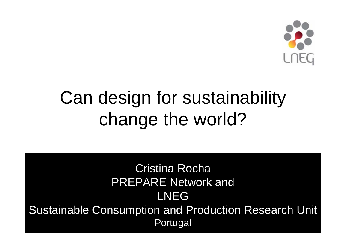

# Can design for sustainability change the world?

#### Cristina Rocha PREPARE Network and LNEGSustainable Consumption and Production Research Unit Portugal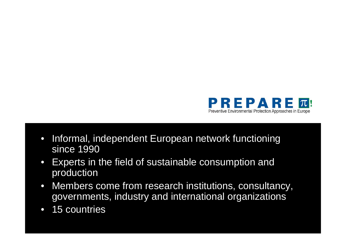

- Informal, independent European network functioning since 1990
- Experts in the field of sustainable consumption and production
- Members come from research institutions, consultancy, governments, industry and international organizations
- 15 countries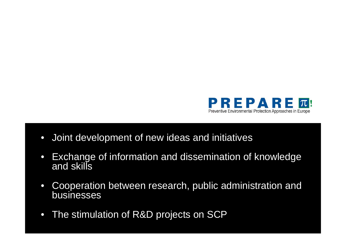

- Joint development of new ideas and initiatives
- Exchange of information and dissemination of knowledge and skills
- Cooperation between research, public administration and businesses
- The stimulation of R&D projects on SCP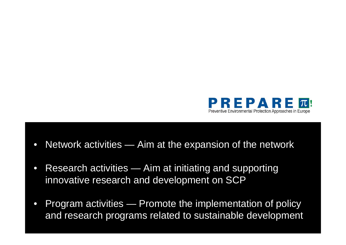

- Network activities Aim at the expansion of the network
- Research activities Aim at initiating and supporting innovative research and development on SCP
- Program activities Promote the implementation of policy and research programs related to sustainable development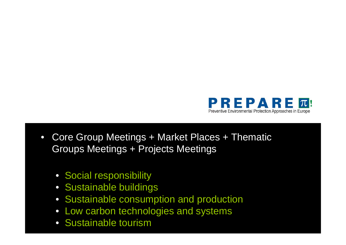

- Core Group Meetings + Market Places + Thematic Groups Meetings + Projects Meetings
	- Social responsibility
	- Sustainable buildings
	- Sustainable consumption and production
	- Low carbon technologies and systems
	- Sustainable tourism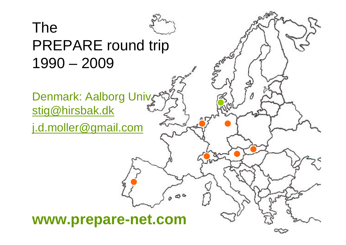

## PREPARE round trip 1990 – 2009

#### Denmark: Aalborg Univ stig@hirsbak.dk

The

j.d.moller@gmail.com

#### **www.prepare-net.com**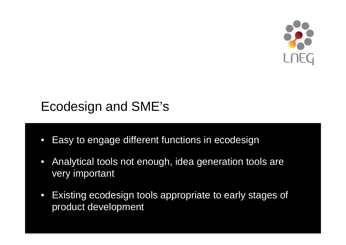

### Ecodesign and SME's

- Easy to engage different functions in ecodesign
- Analytical tools not enough, idea generation tools are very important
- Existing ecodesign tools appropriate to early stages of product development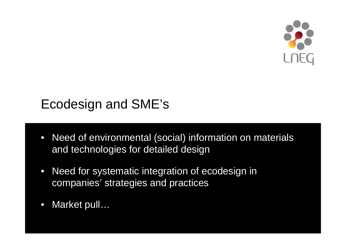

### Ecodesign and SME's

- Need of environmental (social) information on materials and technologies for detailed design
- Need for systematic integration of ecodesign in companies' strategies and practices
- Market pull...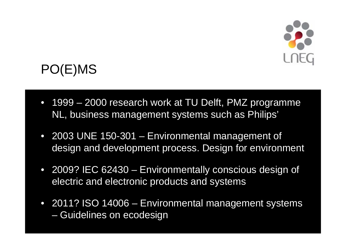

## PO(E)MS

- 1999 2000 research work at TU Delft, PMZ programme NL, business management systems such as Philips'
- 2003 UNE 150-301 Environmental management of design and development process. Design for environment
- 2009? IEC 62430 Environmentally conscious design of electric and electronic products and systems
- 2011? ISO 14006 Environmental management systems – Guidelines on ecodesign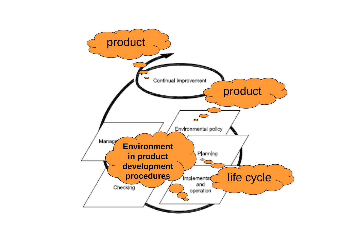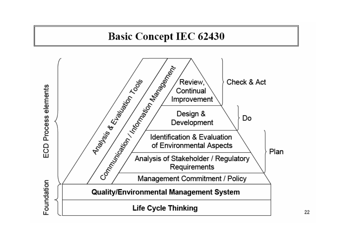#### **Basic Concept IEC 62430**



22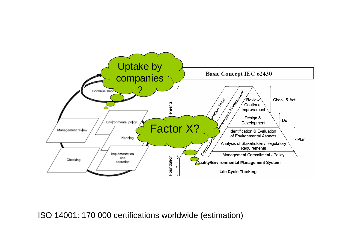

#### ISO 14001: 170 000 certifications worldwide (estimation)